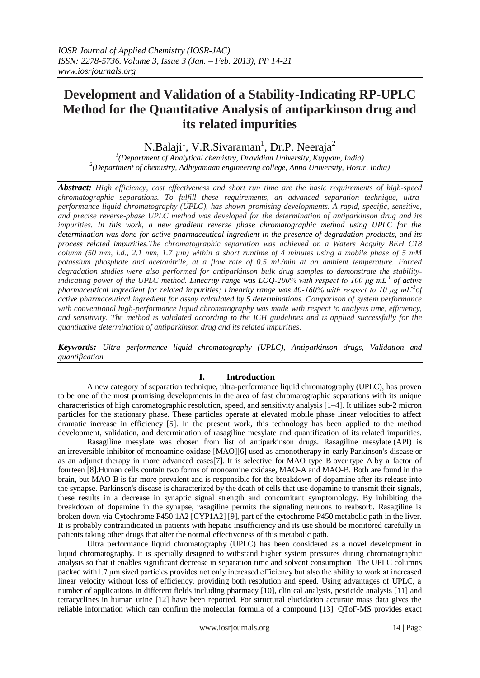N.Balaji<sup>1</sup>, V.R.Sivaraman<sup>1</sup>, Dr.P. Neeraja<sup>2</sup>

*1 (Department of Analytical chemistry, Dravidian University, Kuppam, India) 2 (Department of chemistry, Adhiyamaan engineering college, Anna University, Hosur, India)*

*Abstract: High efficiency, cost effectiveness and short run time are the basic requirements of high-speed chromatographic separations. To fulfill these requirements, an advanced separation technique, ultraperformance liquid chromatography (UPLC), has shown promising developments. A rapid, specific, sensitive, and precise reverse-phase UPLC method was developed for the determination of antiparkinson drug and its impurities. In this work, a new gradient reverse phase chromatographic method using UPLC for the determination was done for active pharmaceutical ingredient in the presence of degradation products, and its process related impurities.The chromatographic separation was achieved on a Waters Acquity BEH C18 column (50 mm, i.d., 2.1 mm, 1.7 µm) within a short runtime of 4 minutes using a mobile phase of 5 mM potassium phosphate and acetonitrile, at a flow rate of 0.5 mL/min at an ambient temperature. Forced degradation studies were also performed for antiparkinson bulk drug samples to demonstrate the stabilityindicating power of the UPLC method. Linearity range was LOQ-200% with respect to 100 μg mL-1 of active pharmaceutical ingredient for related impurities; Linearity range was 40-160% with respect to 10 μg mL-1 of active pharmaceutical ingredient for assay calculated by 5 determinations. Comparison of system performance with conventional high-performance liquid chromatography was made with respect to analysis time, efficiency, and sensitivity. The method is validated according to the ICH guidelines and is applied successfully for the quantitative determination of antiparkinson drug and its related impurities.*

*Keywords: Ultra performance liquid chromatography (UPLC), Antiparkinson drugs, Validation and quantification*

## **I. Introduction**

A new category of separation technique, ultra-performance liquid chromatography (UPLC), has proven to be one of the most promising developments in the area of fast chromatographic separations with its unique characteristics of high chromatographic resolution, speed, and sensitivity analysis [1–4]. It utilizes sub-2 micron particles for the stationary phase. These particles operate at elevated mobile phase linear velocities to affect dramatic increase in efficiency [5]. In the present work, this technology has been applied to the method development, validation, and determination of rasagiline mesylate and quantification of its related impurities.

Rasagiline mesylate was chosen from list of antiparkinson drugs. Rasagiline mesylate (API) is an irreversible inhibitor of monoamine oxidase [MAO][6] used as amonotherapy in early Parkinson's disease or as an adjunct therapy in more advanced cases[7]. It is selective for MAO type B over type A by a factor of fourteen [8].Human cells contain two forms of monoamine oxidase, MAO-A and MAO-B. Both are found in the brain, but MAO-B is far more prevalent and is responsible for the breakdown of dopamine after its release into the synapse. Parkinson's disease is characterized by the death of cells that use dopamine to transmit their signals, these results in a decrease in synaptic signal strength and concomitant symptomology. By inhibiting the breakdown of dopamine in the synapse, rasagiline permits the signaling neurons to reabsorb. Rasagiline is broken down via Cytochrome P450 1A2 [CYP1A2] [9], part of the cytochrome P450 metabolic path in the liver. It is probably contraindicated in patients with hepatic insufficiency and its use should be monitored carefully in patients taking other drugs that alter the normal effectiveness of this metabolic path.

Ultra performance liquid chromatography (UPLC) has been considered as a novel development in liquid chromatography. It is specially designed to withstand higher system pressures during chromatographic analysis so that it enables significant decrease in separation time and solvent consumption. The UPLC columns packed with1.7 μm sized particles provides not only increased efficiency but also the ability to work at increased linear velocity without loss of efficiency, providing both resolution and speed. Using advantages of UPLC, a number of applications in different fields including pharmacy [10], clinical analysis, pesticide analysis [11] and tetracyclines in human urine [12] have been reported. For structural elucidation accurate mass data gives the reliable information which can confirm the molecular formula of a compound [13]. QToF-MS provides exact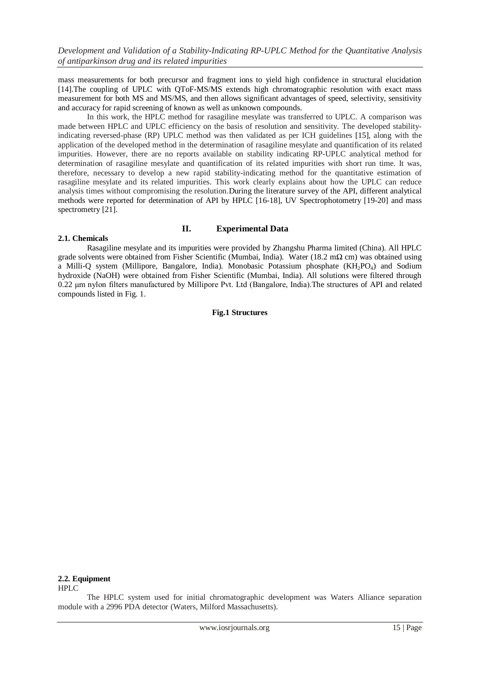mass measurements for both precursor and fragment ions to yield high confidence in structural elucidation [14].The coupling of UPLC with QToF-MS/MS extends high chromatographic resolution with exact mass measurement for both MS and MS/MS, and then allows significant advantages of speed, selectivity, sensitivity and accuracy for rapid screening of known as well as unknown compounds.

In this work, the HPLC method for rasagiline mesylate was transferred to UPLC. A comparison was made between HPLC and UPLC efficiency on the basis of resolution and sensitivity. The developed stabilityindicating reversed-phase (RP) UPLC method was then validated as per ICH guidelines [15], along with the application of the developed method in the determination of rasagiline mesylate and quantification of its related impurities. However, there are no reports available on stability indicating RP-UPLC analytical method for determination of rasagiline mesylate and quantification of its related impurities with short run time. It was, therefore, necessary to develop a new rapid stability-indicating method for the quantitative estimation of rasagiline mesylate and its related impurities. This work clearly explains about how the UPLC can reduce analysis times without compromising the resolution.During the literature survey of the API, different analytical methods were reported for determination of API by HPLC [16-18], UV Spectrophotometry [19-20] and mass spectrometry [21].

## **2.1. Chemicals**

## **II. Experimental Data**

Rasagiline mesylate and its impurities were provided by Zhangshu Pharma limited (China). All HPLC grade solvents were obtained from Fisher Scientific (Mumbai, India). Water (18.2 m $\Omega$  cm) was obtained using a Milli-Q system (Millipore, Bangalore, India). Monobasic Potassium phosphate (KH<sub>2</sub>PO<sub>4</sub>) and Sodium hydroxide (NaOH) were obtained from Fisher Scientific (Mumbai, India). All solutions were filtered through 0.22 μm nylon filters manufactured by Millipore Pvt. Ltd (Bangalore, India).The structures of API and related compounds listed in Fig. 1.

## **Fig.1 Structures**

## **2.2. Equipment**

HPLC

The HPLC system used for initial chromatographic development was Waters Alliance separation module with a 2996 PDA detector (Waters, Milford Massachusetts).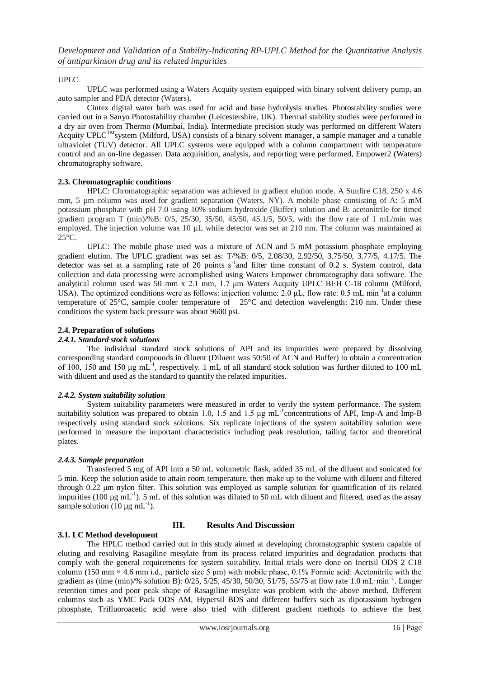## UPLC

UPLC was performed using a Waters Acquity system equipped with binary solvent delivery pump, an auto sampler and PDA detector (Waters).

Cintex digital water bath was used for acid and base hydrolysis studies. Photostability studies were carried out in a Sanyo Photostability chamber (Leicestershire, UK). Thermal stability studies were performed in a dry air oven from Thermo (Mumbai, India). Intermediate precision study was performed on different Waters Acquity  $UPLC^{TM}$ system (Milford, USA) consists of a binary solvent manager, a sample manager and a tunable ultraviolet (TUV) detector. All UPLC systems were equipped with a column compartment with temperature control and an on-line degasser. Data acquisition, analysis, and reporting were performed, Empower2 (Waters) chromatography software.

## **2.3. Chromatographic conditions**

HPLC: Chromatographic separation was achieved in gradient elution mode. A Sunfire C18, 250 x 4.6 mm, 5 µm column was used for gradient separation (Waters, NY). A mobile phase consisting of A: 5 mM potassium phosphate with pH 7.0 using 10% sodium hydroxide (Buffer) solution and B: acetonitrile for timed gradient program T (min)/%B: 0/5, 25/30, 35/50, 45/50, 45.1/5, 50/5, with the flow rate of 1 mL/min was employed. The injection volume was 10  $\mu$ L while detector was set at 210 nm. The column was maintained at 25°C.

UPLC: The mobile phase used was a mixture of ACN and 5 mM potassium phosphate employing gradient elution. The UPLC gradient was set as: T/%B: 0/5, 2.08/30, 2.92/50, 3.75/50, 3.77/5, 4.17/5. The detector was set at a sampling rate of 20 points  $s^{-1}$  and filter time constant of 0.2 s. System control, data collection and data processing were accomplished using Waters Empower chromatography data software. The analytical column used was 50 mm x 2.1 mm, 1.7 μm Waters Acquity UPLC BEH C-18 column (Milford, USA). The optimized conditions were as follows: injection volume:  $2.0 \mu L$ , flow rate: 0.5 mL min<sup>-1</sup>at a column temperature of 25°C, sample cooler temperature of 25°C and detection wavelength: 210 nm. Under these conditions the system back pressure was about 9600 psi.

## **2.4. Preparation of solutions**

## *2.4.1. Standard stock solutions*

The individual standard stock solutions of API and its impurities were prepared by dissolving corresponding standard compounds in diluent (Diluent was 50:50 of ACN and Buffer) to obtain a concentration of 100, 150 and 150  $\mu$ g mL<sup>-1</sup>, respectively. 1 mL of all standard stock solution was further diluted to 100 mL with diluent and used as the standard to quantify the related impurities.

## *2.4.2. System suitability solution*

System suitability parameters were measured in order to verify the system performance. The system suitability solution was prepared to obtain 1.0, 1.5 and 1.5  $\mu$ g mL<sup>-1</sup>concentrations of API, Imp-A and Imp-B respectively using standard stock solutions. Six replicate injections of the system suitability solution were performed to measure the important characteristics including peak resolution, tailing factor and theoretical plates.

## *2.4.3. Sample preparation*

Transferred 5 mg of API into a 50 mL volumetric flask, added 35 mL of the diluent and sonicated for 5 min. Keep the solution aside to attain room temperature, then make up to the volume with diluent and filtered through 0.22 μm nylon filter. This solution was employed as sample solution for quantification of its related impurities (100  $\mu$ g mL<sup>-1</sup>). 5 mL of this solution was diluted to 50 mL with diluent and filtered, used as the assay sample solution (10  $\mu$ g mL<sup>-1</sup>).

## **3.1. LC Method development**

## **III. Results And Discussion**

The HPLC method carried out in this study aimed at developing chromatographic system capable of eluting and resolving Rasagiline mesylate from its process related impurities and degradation products that comply with the general requirements for system suitability. Initial trials were done on Inertsil ODS 2 C18 column (150 mm  $\times$  4.6 mm i.d., particle size 5 µm) with mobile phase, 0.1% Formic acid: Acetonitrile with the gradient as (time (min)/% solution B): 0/25, 5/25, 45/30, 50/30, 51/75, 55/75 at flow rate 1.0 mL·min<sup>-1</sup>. Longer retention times and poor peak shape of Rasagiline mesylate was problem with the above method. Different columns such as YMC Pack ODS AM, Hypersil BDS and different buffers such as dipotassium hydrogen phosphate, Trifluoroacetic acid were also tried with different gradient methods to achieve the best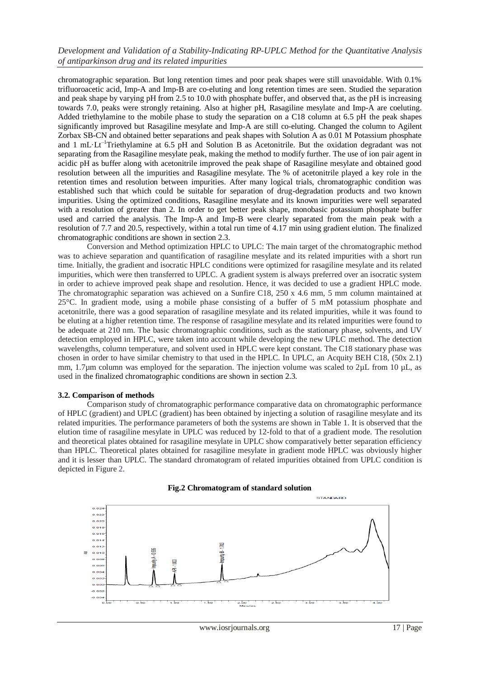chromatographic separation. But long retention times and poor peak shapes were still unavoidable. With 0.1% trifluoroacetic acid, Imp-A and Imp-B are co-eluting and long retention times are seen. Studied the separation and peak shape by varying pH from 2.5 to 10.0 with phosphate buffer, and observed that, as the pH is increasing towards 7.0, peaks were strongly retaining. Also at higher pH, Rasagiline mesylate and Imp-A are coeluting. Added triethylamine to the mobile phase to study the separation on a C18 column at 6.5 pH the peak shapes significantly improved but Rasagiline mesylate and Imp-A are still co-eluting. Changed the column to Agilent Zorbax SB-CN and obtained better separations and peak shapes with Solution A as 0.01 M Potassium phosphate and 1 mL·Lt–1Triethylamine at 6.5 pH and Solution B as Acetonitrile. But the oxidation degradant was not separating from the Rasagiline mesylate peak, making the method to modify further. The use of ion pair agent in acidic pH as buffer along with acetonitrile improved the peak shape of Rasagiline mesylate and obtained good resolution between all the impurities and Rasagiline mesylate. The % of acetonitrile played a key role in the retention times and resolution between impurities. After many logical trials, chromatographic condition was established such that which could be suitable for separation of drug-degradation products and two known impurities. Using the optimized conditions, Rasagiline mesylate and its known impurities were well separated with a resolution of greater than 2. In order to get better peak shape, monobasic potassium phosphate buffer used and carried the analysis. The Imp-A and Imp-B were clearly separated from the main peak with a resolution of 7.7 and 20.5, respectively, within a total run time of 4.17 min using gradient elution. The finalized chromatographic conditions are shown in section 2.3.

Conversion and Method optimization HPLC to UPLC: The main target of the chromatographic method was to achieve separation and quantification of rasagiline mesylate and its related impurities with a short run time. Initially, the gradient and isocratic HPLC conditions were optimized for rasagiline mesylate and its related impurities, which were then transferred to UPLC. A gradient system is always preferred over an isocratic system in order to achieve improved peak shape and resolution. Hence, it was decided to use a gradient HPLC mode. The chromatographic separation was achieved on a Sunfire C18, 250 x 4.6 mm, 5 mm column maintained at 25°C. In gradient mode, using a mobile phase consisting of a buffer of 5 mM potassium phosphate and acetonitrile, there was a good separation of rasagiline mesylate and its related impurities, while it was found to be eluting at a higher retention time. The response of rasagiline mesylate and its related impurities were found to be adequate at 210 nm. The basic chromatographic conditions, such as the stationary phase, solvents, and UV detection employed in HPLC, were taken into account while developing the new UPLC method. The detection wavelengths, column temperature, and solvent used in HPLC were kept constant. The C18 stationary phase was chosen in order to have similar chemistry to that used in the HPLC. In UPLC, an Acquity BEH C18, (50x 2.1) mm, 1.7 $\mu$ m column was employed for the separation. The injection volume was scaled to 2 $\mu$ L from 10  $\mu$ L, as used in the finalized chromatographic conditions are shown in section 2.3.

#### **3.2. Comparison of methods**

Comparison study of chromatographic performance comparative data on chromatographic performance of HPLC (gradient) and UPLC (gradient) has been obtained by injecting a solution of rasagiline mesylate and its related impurities. The performance parameters of both the systems are shown in Table 1. It is observed that the elution time of rasagiline mesylate in UPLC was reduced by 12-fold to that of a gradient mode. The resolution and theoretical plates obtained for rasagiline mesylate in UPLC show comparatively better separation efficiency than HPLC. Theoretical plates obtained for rasagiline mesylate in gradient mode HPLC was obviously higher and it is lesser than UPLC. The standard chromatogram of related impurities obtained from UPLC condition is depicted in Figure 2.



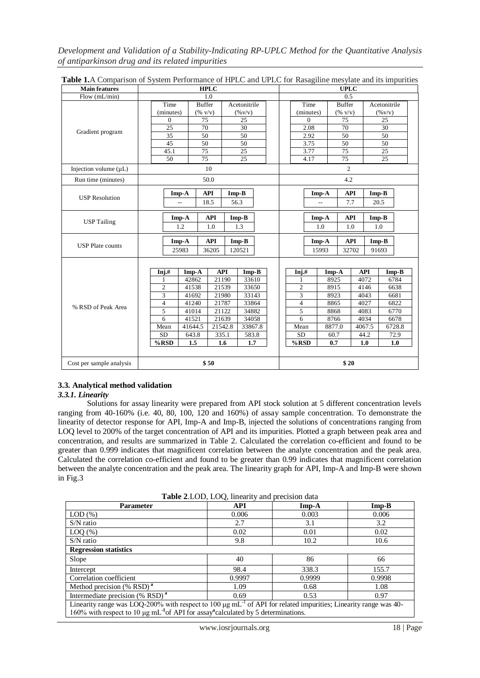| <b>Main features</b>       | <b>HPLC</b>                      |                                                        |            |                     |      | <b>UPLC</b>    |                |                               |            |                    |
|----------------------------|----------------------------------|--------------------------------------------------------|------------|---------------------|------|----------------|----------------|-------------------------------|------------|--------------------|
| Flow (mL/min)              | 1.0                              |                                                        |            |                     |      | 0.5            |                |                               |            |                    |
| Gradient program           | Time                             | <b>Buffer</b>                                          |            | Acetonitrile        |      |                | Time           | <b>Buffer</b>                 |            | Acetonitrile       |
|                            | (minutes)                        | $(% \mathbf{v}^{\prime }\mathbf{v}^{\prime })$ (% v/v) |            | $(\% \text{V/v})$   |      |                | (minutes)      | $(\% \, \text{V} / \text{V})$ |            | $(\% \text{ V/v})$ |
|                            | $\theta$                         | 75                                                     |            | 25                  |      |                | $\Omega$       | 75                            |            | 25                 |
|                            | 25                               | 70                                                     |            | 30                  |      | 2.08           |                | 70                            |            | 30                 |
|                            | 35                               | 50                                                     |            | 50                  |      |                | 2.92           | 50                            |            | 50                 |
|                            | 45                               | 50                                                     |            | 50                  |      |                | 3.75           | 50                            |            | 50                 |
|                            | 45.1                             | 75                                                     |            | 25                  |      |                | 3.77           | 75                            |            | 25                 |
|                            | 50                               | 75                                                     |            | 25                  |      |                | 4.17           | 75                            |            | 25                 |
| Injection volume $(\mu L)$ | 10                               |                                                        |            |                     |      | $\overline{c}$ |                |                               |            |                    |
| Run time (minutes)         | 50.0                             |                                                        |            |                     |      | 4.2            |                |                               |            |                    |
|                            |                                  | $Imp-A$                                                | <b>API</b> | $Imp-B$             |      |                | Imp-A          | <b>API</b>                    |            | $Imp-B$            |
| <b>USP Resolution</b>      |                                  | $\overline{a}$                                         | 18.5       | 56.3                |      |                | $\overline{a}$ | 7.7                           |            | 20.5               |
|                            | <b>API</b><br>$Imp-B$<br>$Imp-A$ |                                                        |            | <b>API</b><br>Imp-A |      |                | $Imp-B$        |                               |            |                    |
| <b>USP Tailing</b>         |                                  | 1.2                                                    | 1.0        | 1.3                 |      |                | 1.0            | 1.0                           |            | 1.0                |
|                            |                                  | $Imp-A$                                                | <b>API</b> | $Imp-B$             |      |                | Imp-A          | <b>API</b>                    |            | $Imp-B$            |
| <b>USP</b> Plate counts    | 25983<br>36205<br>120521         |                                                        |            | 15993               |      | 32702          | 91693          |                               |            |                    |
|                            |                                  |                                                        |            |                     |      |                |                |                               |            |                    |
|                            | Inj.#                            | Imp-A                                                  | <b>API</b> | $Imp-B$             |      | Inj.#          |                | Imp-A                         | <b>API</b> | $Imp-B$            |
|                            |                                  | 42862                                                  | 21190      | 33610               |      | $\mathbf{1}$   |                | 8925                          | 4072       | 6784               |
| % RSD of Peak Area         | $\overline{c}$                   | 41538                                                  | 21539      | 33650               |      | $\overline{c}$ |                | 8915                          | 4146       | 6638               |
|                            | 3                                | 41692                                                  | 21980      | 33143               |      | $\overline{3}$ |                | 8923                          | 4043       | 6681               |
|                            | 4                                | 41240                                                  | 21787      | 33864               |      | $\overline{4}$ |                | 8865                          | 4027       | 6822               |
|                            | 5                                | 41014                                                  | 21122      | 34882               |      | 5              |                | 8868                          | 4083       | 6770               |
|                            | 6                                | 41521                                                  | 21639      | 34058               |      | 6              |                | 8766                          | 4034       | 6678               |
|                            | Mean                             | 41644.5                                                | 21542.8    | 33867.8             |      | Mean           |                | 8877.0                        | 4067.5     | 6728.8             |
|                            | <b>SD</b>                        | 643.8                                                  | 335.1      | 583.8               |      | <b>SD</b>      |                | 60.7                          | 44.2       | 72.9               |
|                            | %RSD                             | 1.5                                                    | 1.6        | 1.7                 |      | %RSD           |                | 0.7                           | 1.0        | 1.0                |
| Cost per sample analysis   | \$50                             |                                                        |            |                     | \$20 |                |                |                               |            |                    |

**Table 1.**A Comparison of System Performance of HPLC and UPLC for Rasagiline mesylate and its impurities

## **3.3. Analytical method validation**

## *3.3.1. Linearity*

Solutions for assay linearity were prepared from API stock solution at 5 different concentration levels ranging from 40-160% (i.e. 40, 80, 100, 120 and 160%) of assay sample concentration. To demonstrate the linearity of detector response for API, Imp-A and Imp-B, injected the solutions of concentrations ranging from LOQ level to 200% of the target concentration of API and its impurities. Plotted a graph between peak area and concentration, and results are summarized in Table 2. Calculated the correlation co-efficient and found to be greater than 0.999 indicates that magnificent correlation between the analyte concentration and the peak area. Calculated the correlation co-efficient and found to be greater than 0.99 indicates that magnificent correlation between the analyte concentration and the peak area. The linearity graph for API, Imp-A and Imp-B were shown in Fig.3

**Table 2**.LOD, LOQ, linearity and precision data

| <b>Parameter</b>                                                                                                                 | <b>API</b> | $Imp-A$ | $Imp-B$ |  |  |  |
|----------------------------------------------------------------------------------------------------------------------------------|------------|---------|---------|--|--|--|
| LOD(%)                                                                                                                           | 0.006      | 0.003   | 0.006   |  |  |  |
| $S/N$ ratio                                                                                                                      | 2.7        | 3.1     | 3.2     |  |  |  |
| $LOQ$ $(\%)$                                                                                                                     | 0.02       | 0.01    | 0.02    |  |  |  |
| S/N ratio                                                                                                                        | 9.8        | 10.2    | 10.6    |  |  |  |
| <b>Regression statistics</b>                                                                                                     |            |         |         |  |  |  |
| Slope                                                                                                                            | 40         | 86      | 66      |  |  |  |
| Intercept                                                                                                                        | 98.4       | 338.3   | 155.7   |  |  |  |
| Correlation coefficient                                                                                                          | 0.9997     | 0.9999  | 0.9998  |  |  |  |
| Method precision $%$ RSD) <sup>a</sup>                                                                                           | 1.09       | 0.68    | 1.08    |  |  |  |
| Intermediate precision (% RSD) <sup>a</sup>                                                                                      | 0.69       | 0.53    | 0.97    |  |  |  |
| Linearity range was LOQ-200% with respect to 100 $\mu$ g mL <sup>-1</sup> of API for related impurities; Linearity range was 40- |            |         |         |  |  |  |
| 160% with respect to 10 $\mu$ g mL <sup>-1</sup> of API for assay <sup>a</sup> calculated by 5 determinations.                   |            |         |         |  |  |  |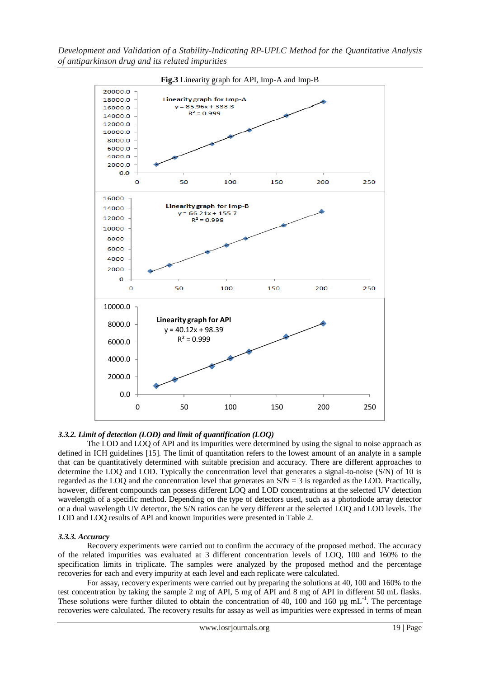

## *3.3.2. Limit of detection (LOD) and limit of quantification (LOQ)*

The LOD and LOQ of API and its impurities were determined by using the signal to noise approach as defined in ICH guidelines [15]. The limit of quantitation refers to the lowest amount of an analyte in a sample that can be quantitatively determined with suitable precision and accuracy. There are different approaches to determine the LOQ and LOD. Typically the concentration level that generates a signal-to-noise (S/N) of 10 is regarded as the LOQ and the concentration level that generates an  $S/N = 3$  is regarded as the LOD. Practically, however, different compounds can possess different LOQ and LOD concentrations at the selected UV detection wavelength of a specific method. Depending on the type of detectors used, such as a photodiode array detector or a dual wavelength UV detector, the S/N ratios can be very different at the selected LOQ and LOD levels. The LOD and LOQ results of API and known impurities were presented in Table 2.

## *3.3.3. Accuracy*

Recovery experiments were carried out to confirm the accuracy of the proposed method. The accuracy of the related impurities was evaluated at 3 different concentration levels of LOQ, 100 and 160% to the specification limits in triplicate. The samples were analyzed by the proposed method and the percentage recoveries for each and every impurity at each level and each replicate were calculated.

For assay, recovery experiments were carried out by preparing the solutions at 40, 100 and 160% to the test concentration by taking the sample 2 mg of API, 5 mg of API and 8 mg of API in different 50 mL flasks. These solutions were further diluted to obtain the concentration of 40, 100 and 160  $\mu$ g mL<sup>-1</sup>. The percentage recoveries were calculated. The recovery results for assay as well as impurities were expressed in terms of mean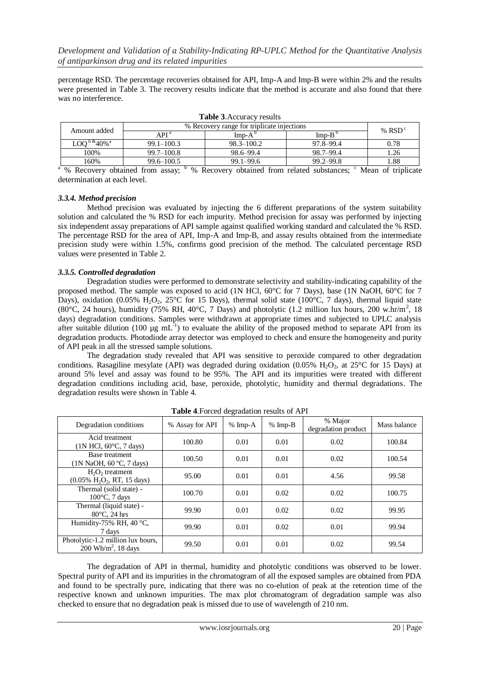percentage RSD. The percentage recoveries obtained for API, Imp-A and Imp-B were within 2% and the results were presented in Table 3. The recovery results indicate that the method is accurate and also found that there was no interference.

| <b>L'able <i>J</i>.</b> Accuracy results           |                                            |                 |               |      |  |  |  |
|----------------------------------------------------|--------------------------------------------|-----------------|---------------|------|--|--|--|
| Amount added                                       | % Recovery range for triplicate injections | % $RSDc$        |               |      |  |  |  |
|                                                    | API <sup>a</sup>                           | $Imp-A^{\circ}$ | Imp- $B0$     |      |  |  |  |
| $\mathrm{LOO}^{\mathrm{b}\,\&\,}40\%$ <sup>a</sup> | $99.1 - 100.3$                             | $98.3 - 100.2$  | 97.8-99.4     | 0.78 |  |  |  |
| 100%                                               | $99.7 - 100.8$                             | 98.6–99.4       | 98.7-99.4     | .26  |  |  |  |
| 160%                                               | $99.6 - 100.5$                             | $99.1 - 99.6$   | $99.2 - 99.8$ | .88  |  |  |  |

**Table 3**.Accuracy results

<sup>a</sup> % Recovery obtained from assay; <sup>b</sup> % Recovery obtained from related substances; <sup>c</sup> Mean of triplicate determination at each level.

#### *3.3.4. Method precision*

Method precision was evaluated by injecting the 6 different preparations of the system suitability solution and calculated the % RSD for each impurity. Method precision for assay was performed by injecting six independent assay preparations of API sample against qualified working standard and calculated the % RSD. The percentage RSD for the area of API, Imp-A and Imp-B, and assay results obtained from the intermediate precision study were within 1.5%, confirms good precision of the method. The calculated percentage RSD values were presented in Table 2.

#### *3.3.5. Controlled degradation*

Degradation studies were performed to demonstrate selectivity and stability-indicating capability of the proposed method. The sample was exposed to acid (1N HCl, 60°C for 7 Days), base (1N NaOH, 60°C for 7 Days), oxidation (0.05% H<sub>2</sub>O<sub>2</sub>, 25<sup>o</sup>C for 15 Days), thermal solid state (100<sup>o</sup>C, 7 days), thermal liquid state (80°C, 24 hours), humidity (75% RH, 40°C, 7 Days) and photolytic (1.2 million lux hours, 200 w.hr/m<sup>2</sup>, 18 days) degradation conditions. Samples were withdrawn at appropriate times and subjected to UPLC analysis after suitable dilution (100  $\mu$ g mL<sup>-1</sup>) to evaluate the ability of the proposed method to separate API from its degradation products. Photodiode array detector was employed to check and ensure the homogeneity and purity of API peak in all the stressed sample solutions.

The degradation study revealed that API was sensitive to peroxide compared to other degradation conditions. Rasagiline mesylate (API) was degraded during oxidation (0.05% H<sub>2</sub>O<sub>2</sub>, at 25°C for 15 Days) at around 5% level and assay was found to be 95%. The API and its impurities were treated with different degradation conditions including acid, base, peroxide, photolytic, humidity and thermal degradations. The degradation results were shown in Table 4.

| Degradation conditions                                                             | % Assay for API | $% Imp-A$ | $% Imp-B$ | % Major<br>degradation product | Mass balance |
|------------------------------------------------------------------------------------|-----------------|-----------|-----------|--------------------------------|--------------|
| Acid treatment<br>$(1N HCl, 60^{\circ}C, 7 \text{ days})$                          | 100.80          | 0.01      | 0.01      | 0.02                           | 100.84       |
| Base treatment<br>(1N NaOH, 60 °C, 7 days)                                         | 100.50          | 0.01      | 0.01      | 0.02                           | 100.54       |
| $H_2O_2$ treatment<br>$(0.05\% \text{ H}_2\text{O}_2, \text{RT}, 15 \text{ days})$ | 95.00           | 0.01      | 0.01      | 4.56                           | 99.58        |
| Thermal (solid state) -<br>$100^{\circ}$ C, 7 days                                 | 100.70          | 0.01      | 0.02      | 0.02                           | 100.75       |
| Thermal (liquid state) -<br>$80^{\circ}$ C, 24 hrs                                 | 99.90           | 0.01      | 0.02      | 0.02                           | 99.95        |
| Humidity-75% RH, 40 $\degree$ C,<br>7 days                                         | 99.90           | 0.01      | 0.02      | 0.01                           | 99.94        |
| Photolytic-1.2 million lux hours,<br>$200 \text{ Wh/m}^2$ , 18 days                | 99.50           | 0.01      | 0.01      | 0.02                           | 99.54        |

**Table 4**.Forced degradation results of API

The degradation of API in thermal, humidity and photolytic conditions was observed to be lower. Spectral purity of API and its impurities in the chromatogram of all the exposed samples are obtained from PDA and found to be spectrally pure, indicating that there was no co-elution of peak at the retention time of the respective known and unknown impurities. The max plot chromatogram of degradation sample was also checked to ensure that no degradation peak is missed due to use of wavelength of 210 nm.